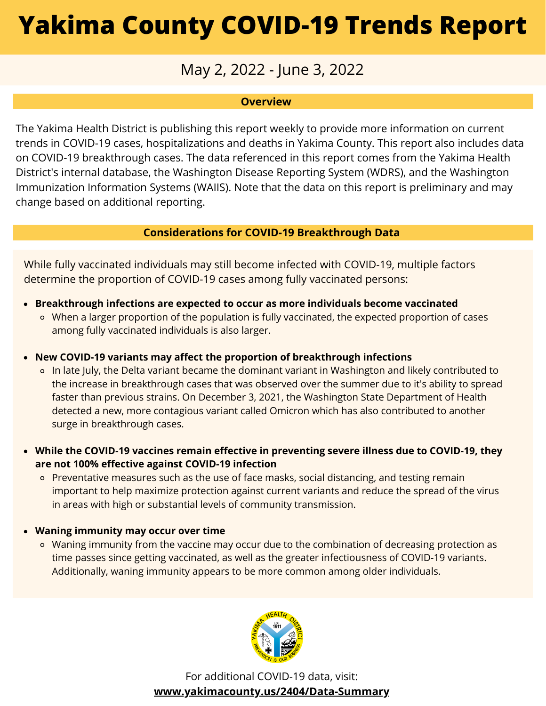## May 2, 2022 - June 3, 2022

### **Overview**

The Yakima Health District is publishing this report weekly to provide more information on current trends in COVID-19 cases, hospitalizations and deaths in Yakima County. This report also includes data on COVID-19 breakthrough cases. The data referenced in this report comes from the Yakima Health District's internal database, the Washington Disease Reporting System (WDRS), and the Washington Immunization Information Systems (WAIIS). Note that the data on this report is preliminary and may change based on additional reporting.

### **Considerations for COVID-19 Breakthrough Data**

While fully vaccinated individuals may still become infected with COVID-19, multiple factors determine the proportion of COVID-19 cases among fully vaccinated persons:

- **Breakthrough infections are expected to occur as more individuals become vaccinated**
	- When a larger proportion of the population is fully vaccinated, the expected proportion of cases among fully vaccinated individuals is also larger.
- **New COVID-19 variants may affect the proportion of breakthrough infections**
	- o In late July, the Delta variant became the dominant variant in Washington and likely contributed to the increase in breakthrough cases that was observed over the summer due to it's ability to spread faster than previous strains. On December 3, 2021, the Washington State Department of Health detected a new, more contagious variant called Omicron which has also contributed to another surge in breakthrough cases.
- **While the COVID-19 vaccines remain effective in preventing severe illness due to COVID-19, they are not 100% effective against COVID-19 infection**
	- o Preventative measures such as the use of face masks, social distancing, and testing remain important to help maximize protection against current variants and reduce the spread of the virus in areas with high or substantial levels of community transmission.

### **Waning immunity may occur over time**

o Waning immunity from the vaccine may occur due to the combination of decreasing protection as time passes since getting vaccinated, as well as the greater infectiousness of COVID-19 variants. Additionally, waning immunity appears to be more common among older individuals.



For additional COVID-19 data, visit: **[www.yakimacounty.us/2404/Data-Summary](https://www.yakimacounty.us/2404/Data-Summary)**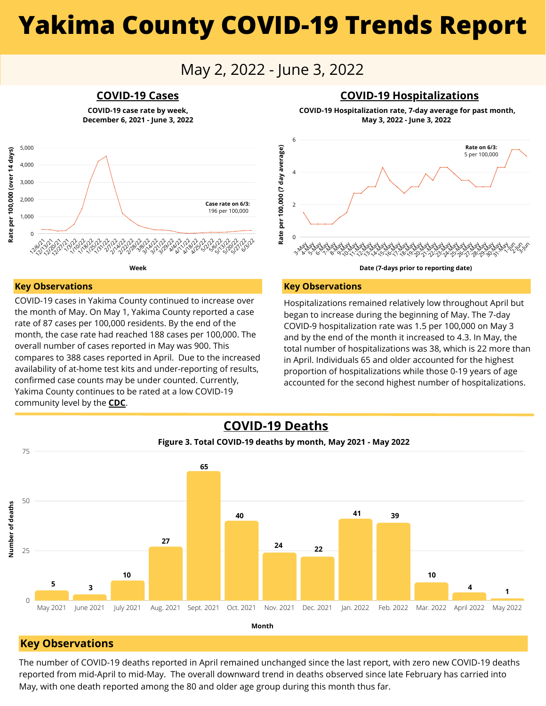### May 2, 2022 - June 3, 2022

**COVID-19 case rate by week, December 6, 2021 - June 3, 2022**



**May 3, 2022 - June 3, 2022**



#### **Key Observations**

**Rate per 100,000 (over 14 days)**

Rate per 100,000 (over 14 days)

5,000 4,000 3,000 2,000 1,000

COVID-19 cases in Yakima County continued to increase over the month of May. On May 1, Yakima County reported a case rate of 87 cases per 100,000 residents. By the end of the month, the case rate had reached 188 cases per 100,000. The overall number of cases reported in May was 900. This compares to 388 cases reported in April. Due to the increased availability of at-home test kits and under-reporting of results, confirmed case counts may be under counted. Currently, Yakima County continues to be rated at a low COVID-19 community level by the **[CDC](https://www.cdc.gov/coronavirus/2019-ncov/science/community-levels.html)**.

#### **Key Observations**

Hospitalizations remained relatively low throughout April but began to increase during the beginning of May. The 7-day COVID-9 hospitalization rate was 1.5 per 100,000 on May 3 and by the end of the month it increased to 4.3. In May, the total number of hospitalizations was 38, which is 22 more than in April. Individuals 65 and older accounted for the highest proportion of hospitalizations while those 0-19 years of age accounted for the second highest number of hospitalizations.



#### **Key Observations**

The number of COVID-19 deaths reported in April remained unchanged since the last report, with zero new COVID-19 deaths reported from mid-April to mid-May. The overall downward trend in deaths observed since late February has carried into May, with one death reported among the 80 and older age group during this month thus far.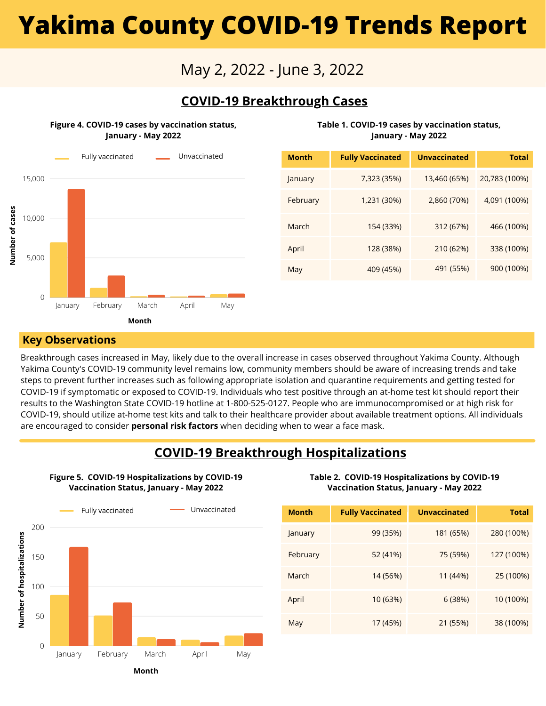### May 2, 2022 - June 3, 2022

### **COVID-19 Breakthrough Cases**

**Figure 4. COVID-19 cases by vaccination status, January - May 2022**



| <b>Month</b> | <b>Fully Vaccinated</b> | <b>Unvaccinated</b> | <b>Total</b>  |
|--------------|-------------------------|---------------------|---------------|
| January      | 7,323 (35%)             | 13,460 (65%)        | 20,783 (100%) |
| February     | 1,231 (30%)             | 2,860 (70%)         | 4,091 (100%)  |
| March        | 154 (33%)               | 312 (67%)           | 466 (100%)    |
| April        | 128 (38%)               | 210 (62%)           | 338 (100%)    |
| May          | 409 (45%)               | 491 (55%)           | 900 (100%)    |

**Table 1. COVID-19 cases by vaccination status, January - May 2022**

#### **Key Observations**

Breakthrough cases increased in May, likely due to the overall increase in cases observed throughout Yakima County. Although Yakima County's COVID-19 community level remains low, community members should be aware of increasing trends and take steps to prevent further increases such as following appropriate isolation and quarantine requirements and getting tested for COVID-19 if symptomatic or exposed to COVID-19. Individuals who test positive through an at-home test kit should report their results to the Washington State COVID-19 hotline at 1-800-525-0127. People who are immunocompromised or at high risk for COVID-19, should utilize at-home test kits and talk to their healthcare provider about available treatment options. All individuals are encouraged to consider **[personal](https://www.cdc.gov/coronavirus/2019-ncov/need-extra-precautions/index.html) risk factors** when deciding when to wear a face mask.

### **COVID-19 Breakthrough Hospitalizations**

**Figure 5. COVID-19 Hospitalizations by COVID-19 Vaccination Status, January - May 2022**



**Table 2. COVID-19 Hospitalizations by COVID-19 Vaccination Status, January - May 2022**

| <b>Month</b> | <b>Fully Vaccinated</b> | <b>Unvaccinated</b> | <b>Total</b> |
|--------------|-------------------------|---------------------|--------------|
| January      | 99 (35%)                | 181 (65%)           | 280 (100%)   |
| February     | 52 (41%)                | 75 (59%)            | 127 (100%)   |
| March        | 14 (56%)                | 11 (44%)            | 25 (100%)    |
| April        | 10 (63%)                | 6(38%)              | 10 (100%)    |
| May          | 17 (45%)                | 21 (55%)            | 38 (100%)    |